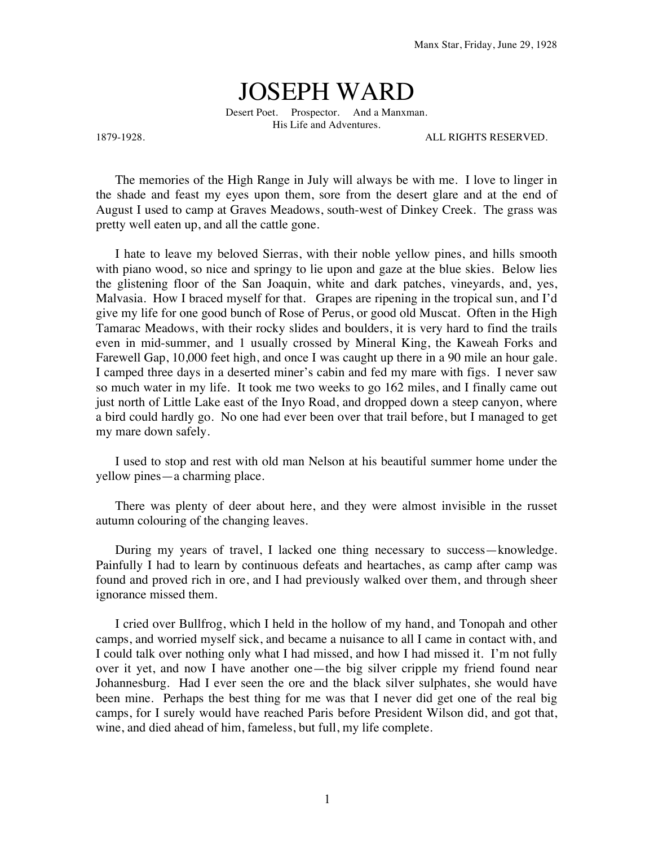## JOSEPH WARD

Desert Poet. Prospector. And a Manxman. His Life and Adventures.

1879-1928. ALL RIGHTS RESERVED.

The memories of the High Range in July will always be with me. I love to linger in the shade and feast my eyes upon them, sore from the desert glare and at the end of August I used to camp at Graves Meadows, south-west of Dinkey Creek. The grass was pretty well eaten up, and all the cattle gone.

I hate to leave my beloved Sierras, with their noble yellow pines, and hills smooth with piano wood, so nice and springy to lie upon and gaze at the blue skies. Below lies the glistening floor of the San Joaquin, white and dark patches, vineyards, and, yes, Malvasia. How I braced myself for that. Grapes are ripening in the tropical sun, and I'd give my life for one good bunch of Rose of Perus, or good old Muscat. Often in the High Tamarac Meadows, with their rocky slides and boulders, it is very hard to find the trails even in mid-summer, and 1 usually crossed by Mineral King, the Kaweah Forks and Farewell Gap, 10,000 feet high, and once I was caught up there in a 90 mile an hour gale. I camped three days in a deserted miner's cabin and fed my mare with figs. I never saw so much water in my life. It took me two weeks to go 162 miles, and I finally came out just north of Little Lake east of the Inyo Road, and dropped down a steep canyon, where a bird could hardly go. No one had ever been over that trail before, but I managed to get my mare down safely.

I used to stop and rest with old man Nelson at his beautiful summer home under the yellow pines—a charming place.

There was plenty of deer about here, and they were almost invisible in the russet autumn colouring of the changing leaves.

During my years of travel, I lacked one thing necessary to success—knowledge. Painfully I had to learn by continuous defeats and heartaches, as camp after camp was found and proved rich in ore, and I had previously walked over them, and through sheer ignorance missed them.

I cried over Bullfrog, which I held in the hollow of my hand, and Tonopah and other camps, and worried myself sick, and became a nuisance to all I came in contact with, and I could talk over nothing only what I had missed, and how I had missed it. I'm not fully over it yet, and now I have another one—the big silver cripple my friend found near Johannesburg. Had I ever seen the ore and the black silver sulphates, she would have been mine. Perhaps the best thing for me was that I never did get one of the real big camps, for I surely would have reached Paris before President Wilson did, and got that, wine, and died ahead of him, fameless, but full, my life complete.